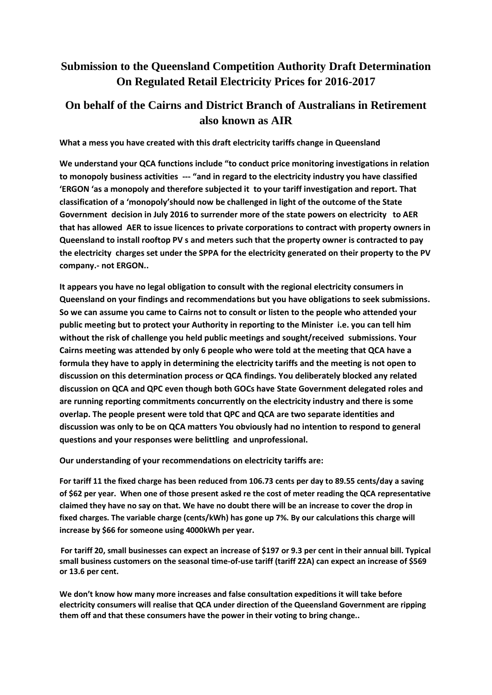## **Submission to the Queensland Competition Authority Draft Determination On Regulated Retail Electricity Prices for 2016-2017**

## **On behalf of the Cairns and District Branch of Australians in Retirement also known as AIR**

**What a mess you have created with this draft electricity tariffs change in Queensland** 

**We understand your QCA functions include "to conduct price monitoring investigations in relation to monopoly business activities --- "and in regard to the electricity industry you have classified 'ERGON 'as a monopoly and therefore subjected it to your tariff investigation and report. That classification of a 'monopoly'should now be challenged in light of the outcome of the State Government decision in July 2016 to surrender more of the state powers on electricity to AER that has allowed AER to issue licences to private corporations to contract with property owners in Queensland to install rooftop PV s and meters such that the property owner is contracted to pay the electricity charges set under the SPPA for the electricity generated on their property to the PV company.- not ERGON..**

**It appears you have no legal obligation to consult with the regional electricity consumers in Queensland on your findings and recommendations but you have obligations to seek submissions. So we can assume you came to Cairns not to consult or listen to the people who attended your public meeting but to protect your Authority in reporting to the Minister i.e. you can tell him without the risk of challenge you held public meetings and sought/received submissions. Your Cairns meeting was attended by only 6 people who were told at the meeting that QCA have a formula they have to apply in determining the electricity tariffs and the meeting is not open to discussion on this determination process or QCA findings. You deliberately blocked any related discussion on QCA and QPC even though both GOCs have State Government delegated roles and are running reporting commitments concurrently on the electricity industry and there is some overlap. The people present were told that QPC and QCA are two separate identities and discussion was only to be on QCA matters You obviously had no intention to respond to general questions and your responses were belittling and unprofessional.**

**Our understanding of your recommendations on electricity tariffs are:**

**For tariff 11 the fixed charge has been reduced from 106.73 cents per day to 89.55 cents/day a saving of \$62 per year. When one of those present asked re the cost of meter reading the QCA representative claimed they have no say on that. We have no doubt there will be an increase to cover the drop in fixed charges. The variable charge (cents/kWh) has gone up 7%. By our calculations this charge will increase by \$66 for someone using 4000kWh per year.**

**For tariff 20, small businesses can expect an increase of \$197 or 9.3 per cent in their annual bill. Typical small business customers on the seasonal time-of-use tariff (tariff 22A) can expect an increase of \$569 or 13.6 per cent.** 

**We don't know how many more increases and false consultation expeditions it will take before electricity consumers will realise that QCA under direction of the Queensland Government are ripping them off and that these consumers have the power in their voting to bring change..**